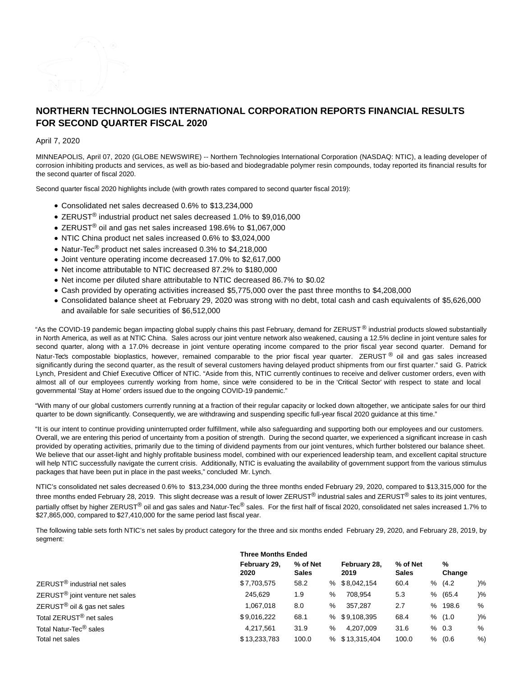

# **NORTHERN TECHNOLOGIES INTERNATIONAL CORPORATION REPORTS FINANCIAL RESULTS FOR SECOND QUARTER FISCAL 2020**

April 7, 2020

MINNEAPOLIS, April 07, 2020 (GLOBE NEWSWIRE) -- Northern Technologies International Corporation (NASDAQ: NTIC), a leading developer of corrosion inhibiting products and services, as well as bio-based and biodegradable polymer resin compounds, today reported its financial results for the second quarter of fiscal 2020.

Second quarter fiscal 2020 highlights include (with growth rates compared to second quarter fiscal 2019):

- Consolidated net sales decreased 0.6% to \$13,234,000
- ZERUST<sup>®</sup> industrial product net sales decreased 1.0% to \$9,016,000
- ZERUST® oil and gas net sales increased 198.6% to \$1,067,000
- NTIC China product net sales increased 0.6% to \$3,024,000
- Natur-Tec<sup>®</sup> product net sales increased 0.3% to \$4,218,000
- Joint venture operating income decreased 17.0% to \$2,617,000
- Net income attributable to NTIC decreased 87.2% to \$180,000
- Net income per diluted share attributable to NTIC decreased 86.7% to \$0.02
- Cash provided by operating activities increased \$5,775,000 over the past three months to \$4,208,000
- Consolidated balance sheet at February 29, 2020 was strong with no debt, total cash and cash equivalents of \$5,626,000 and available for sale securities of \$6,512,000

"As the COVID-19 pandemic began impacting global supply chains this past February, demand for ZERUST<sup>®</sup> industrial products slowed substantially in North America, as well as at NTIC China. Sales across our joint venture network also weakened, causing a 12.5% decline in joint venture sales for second quarter, along with a 17.0% decrease in joint venture operating income compared to the prior fiscal year second quarter. Demand for Natur-Tec's compostable bioplastics, however, remained comparable to the prior fiscal year quarter. ZERUST  $^{\circ}$  oil and gas sales increased significantly during the second quarter, as the result of several customers having delayed product shipments from our first quarter." said G. Patrick Lynch, President and Chief Executive Officer of NTIC. "Aside from this, NTIC currently continues to receive and deliver customer orders, even with almost all of our employees currently working from home, since we're considered to be in the 'Critical Sector' with respect to state and local governmental 'Stay at Home' orders issued due to the ongoing COVID-19 pandemic."

"With many of our global customers currently running at a fraction of their regular capacity or locked down altogether, we anticipate sales for our third quarter to be down significantly. Consequently, we are withdrawing and suspending specific full-year fiscal 2020 guidance at this time."

"It is our intent to continue providing uninterrupted order fulfillment, while also safeguarding and supporting both our employees and our customers. Overall, we are entering this period of uncertainty from a position of strength. During the second quarter, we experienced a significant increase in cash provided by operating activities, primarily due to the timing of dividend payments from our joint ventures, which further bolstered our balance sheet. We believe that our asset-light and highly profitable business model, combined with our experienced leadership team, and excellent capital structure will help NTIC successfully navigate the current crisis. Additionally, NTIC is evaluating the availability of government support from the various stimulus packages that have been put in place in the past weeks," concluded Mr. Lynch.

NTIC's consolidated net sales decreased 0.6% to \$13,234,000 during the three months ended February 29, 2020, compared to \$13,315,000 for the three months ended February 28, 2019. This slight decrease was a result of lower ZERUST® industrial sales and ZERUST® sales to its joint ventures, partially offset by higher ZERUST<sup>®</sup> oil and gas sales and Natur-Tec® sales. For the first half of fiscal 2020, consolidated net sales increased 1.7% to \$27,865,000, compared to \$27,410,000 for the same period last fiscal year.

The following table sets forth NTIC's net sales by product category for the three and six months ended February 29, 2020, and February 28, 2019, by segment:

|                                             | <b>Three Months Ended</b> |                          |               |                      |                          |             |        |
|---------------------------------------------|---------------------------|--------------------------|---------------|----------------------|--------------------------|-------------|--------|
|                                             | February 29,<br>2020      | % of Net<br><b>Sales</b> |               | February 28,<br>2019 | % of Net<br><b>Sales</b> | %<br>Change |        |
| ZERUST <sup>®</sup> industrial net sales    | \$7,703,575               | 58.2                     |               | % \$8,042,154        | 60.4                     | % (4.2)     | $)\%$  |
| ZERUST <sup>®</sup> joint venture net sales | 245.629                   | 1.9                      | %             | 708.954              | 5.3                      | % (65.4     | $) \%$ |
| ZERUST <sup>®</sup> oil & gas net sales     | 1.067.018                 | 8.0                      | %             | 357.287              | 2.7                      | % 198.6     | %      |
| Total ZERUST <sup>®</sup> net sales         | \$9,016,222               | 68.1                     |               | % \$9,108,395        | 68.4                     | % (1.0)     | $) \%$ |
| Total Natur-Tec <sup>®</sup> sales          | 4.217.561                 | 31.9                     | $\frac{1}{2}$ | 4.207.009            | 31.6                     | % 0.3       | %      |
| Total net sales                             | \$13,233,783              | 100.0                    |               | % \$13.315.404       | 100.0                    | % (0.6)     | %)     |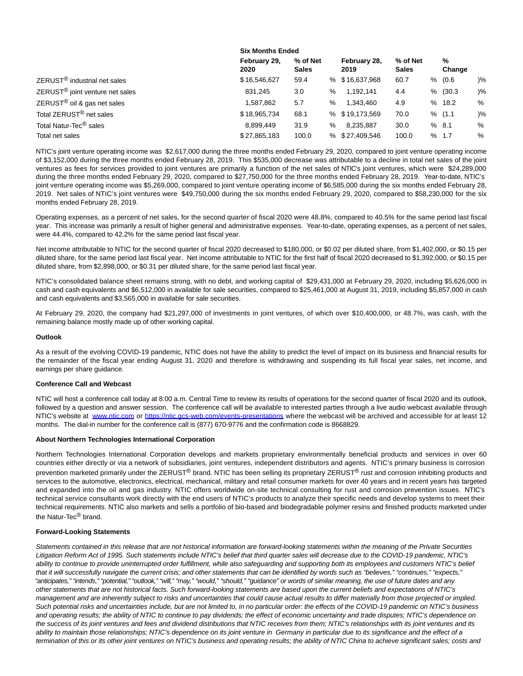|                                             | <b>SIX MONTAL ENGEG</b> |                          |      |                      |                          |  |             |               |
|---------------------------------------------|-------------------------|--------------------------|------|----------------------|--------------------------|--|-------------|---------------|
|                                             | February 29,<br>2020    | % of Net<br><b>Sales</b> |      | February 28,<br>2019 | % of Net<br><b>Sales</b> |  | %<br>Change |               |
| ZERUST <sup>®</sup> industrial net sales    | \$16,546,627            | 59.4                     |      | % \$16,637,968       | 60.7                     |  | % (0.6)     | $\frac{9}{6}$ |
| ZERUST <sup>®</sup> joint venture net sales | 831.245                 | 3.0                      | ℅    | 1,192,141            | 4.4                      |  | % (30.3)    | $\frac{9}{6}$ |
| ZERUST <sup>®</sup> oil & gas net sales     | 1,587,862               | 5.7                      | ℅    | 1.343.460            | 4.9                      |  | %18.2       | %             |
| Total ZERUST <sup>®</sup> net sales         | \$18,965,734            | 68.1                     |      | % \$19,173,569       | 70.0                     |  | % (1.1)     | $\frac{9}{6}$ |
| Total Natur-Tec <sup>®</sup> sales          | 8.899.449               | 31.9                     | $\%$ | 8.235.887            | 30.0                     |  | % 8.1       | %             |
| Total net sales                             | \$27,865,183            | 100.0                    |      | % \$27.409.546       | 100.0                    |  | % 1.7       | %             |

**Six Months Ended**

NTIC's joint venture operating income was \$2,617,000 during the three months ended February 29, 2020, compared to joint venture operating income of \$3,152,000 during the three months ended February 28, 2019. This \$535,000 decrease was attributable to a decline in total net sales of the joint ventures as fees for services provided to joint ventures are primarily a function of the net sales of NTIC's joint ventures, which were \$24,289,000 during the three months ended February 29, 2020, compared to \$27,750,000 for the three months ended February 28, 2019. Year-to-date, NTIC's joint venture operating income was \$5,269,000, compared to joint venture operating income of \$6,585,000 during the six months ended February 28, 2019. Net sales of NTIC's joint ventures were \$49,750,000 during the six months ended February 29, 2020, compared to \$58,230,000 for the six months ended February 28, 2019.

Operating expenses, as a percent of net sales, for the second quarter of fiscal 2020 were 48.8%, compared to 40.5% for the same period last fiscal year. This increase was primarily a result of higher general and administrative expenses. Year-to-date, operating expenses, as a percent of net sales, were 44.4%, compared to 42.2% for the same period last fiscal year.

Net income attributable to NTIC for the second quarter of fiscal 2020 decreased to \$180,000, or \$0.02 per diluted share, from \$1,402,000, or \$0.15 per diluted share, for the same period last fiscal year. Net income attributable to NTIC for the first half of fiscal 2020 decreased to \$1,392,000, or \$0.15 per diluted share, from \$2,898,000, or \$0.31 per diluted share, for the same period last fiscal year.

NTIC's consolidated balance sheet remains strong, with no debt, and working capital of \$29,431,000 at February 29, 2020, including \$5,626,000 in cash and cash equivalents and \$6,512,000 in available for sale securities, compared to \$25,461,000 at August 31, 2019, including \$5,857,000 in cash and cash equivalents and \$3,565,000 in available for sale securities.

At February 29, 2020, the company had \$21,297,000 of investments in joint ventures, of which over \$10,400,000, or 48.7%, was cash, with the remaining balance mostly made up of other working capital.

### **Outlook**

As a result of the evolving COVID-19 pandemic, NTIC does not have the ability to predict the level of impact on its business and financial results for the remainder of the fiscal year ending August 31, 2020 and therefore is withdrawing and suspending its full fiscal year sales, net income, and earnings per share guidance.

### **Conference Call and Webcast**

NTIC will host a conference call today at 8:00 a.m. Central Time to review its results of operations for the second quarter of fiscal 2020 and its outlook, followed by a question and answer session. The conference call will be available to interested parties through a live audio webcast available through NTIC's website at [www.ntic.com o](http://www.ntic.com/)r [https://ntic.gcs-web.com/events-presentations w](https://ntic.gcs-web.com/events-presentations)here the webcast will be archived and accessible for at least 12 months. The dial-in number for the conference call is (877) 670-9776 and the confirmation code is 8668829.

#### **About Northern Technologies International Corporation**

Northern Technologies International Corporation develops and markets proprietary environmentally beneficial products and services in over 60 countries either directly or via a network of subsidiaries, joint ventures, independent distributors and agents. NTIC's primary business is corrosion prevention marketed primarily under the ZERUST<sup>®</sup> brand. NTIC has been selling its proprietary ZERUST<sup>®</sup> rust and corrosion inhibiting products and services to the automotive, electronics, electrical, mechanical, military and retail consumer markets for over 40 years and in recent years has targeted and expanded into the oil and gas industry. NTIC offers worldwide on-site technical consulting for rust and corrosion prevention issues. NTIC's technical service consultants work directly with the end users of NTIC's products to analyze their specific needs and develop systems to meet their technical requirements. NTIC also markets and sells a portfolio of bio-based and biodegradable polymer resins and finished products marketed under the Natur-Tec® brand.

### **Forward-Looking Statements**

Statements contained in this release that are not historical information are forward-looking statements within the meaning of the Private Securities Litigation Reform Act of 1995. Such statements include NTIC's belief that third quarter sales will decrease due to the COVID-19 pandemic, NTIC's ability to continue to provide uninterrupted order fulfillment, while also safeguarding and supporting both its employees and customers NTIC's belief that it will successfully navigate the current crisis; and other statements that can be identified by words such as "believes," "continues," "expects," "anticipates," "intends," "potential," "outlook," "will," "may," "would," "should," "guidance" or words of similar meaning, the use of future dates and any other statements that are not historical facts. Such forward-looking statements are based upon the current beliefs and expectations of NTIC's management and are inherently subject to risks and uncertainties that could cause actual results to differ materially from those projected or implied. Such potential risks and uncertainties include, but are not limited to, in no particular order: the effects of the COVID-19 pandemic on NTIC's business and operating results; the ability of NTIC to continue to pay dividends; the effect of economic uncertainty and trade disputes; NTIC's dependence on the success of its joint ventures and fees and dividend distributions that NTIC receives from them; NTIC's relationships with its joint ventures and its ability to maintain those relationships; NTIC's dependence on its joint venture in Germany in particular due to its significance and the effect of a termination of this or its other joint ventures on NTIC's business and operating results; the ability of NTIC China to achieve significant sales; costs and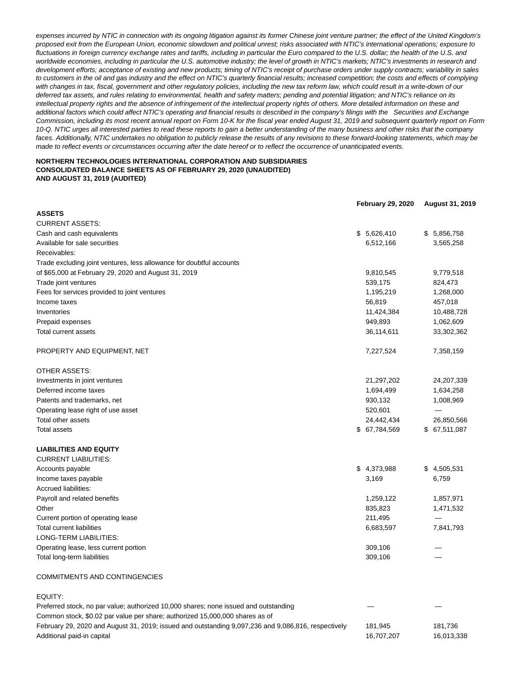expenses incurred by NTIC in connection with its ongoing litigation against its former Chinese joint venture partner; the effect of the United Kingdom's proposed exit from the European Union, economic slowdown and political unrest; risks associated with NTIC's international operations; exposure to fluctuations in foreign currency exchange rates and tariffs, including in particular the Euro compared to the U.S. dollar; the health of the U.S. and worldwide economies, including in particular the U.S. automotive industry; the level of growth in NTIC's markets; NTIC's investments in research and development efforts; acceptance of existing and new products; timing of NTIC's receipt of purchase orders under supply contracts; variability in sales to customers in the oil and gas industry and the effect on NTIC's quarterly financial results; increased competition; the costs and effects of complying with changes in tax, fiscal, government and other regulatory policies, including the new tax reform law, which could result in a write-down of our deferred tax assets, and rules relating to environmental, health and safety matters; pending and potential litigation; and NTIC's reliance on its intellectual property rights and the absence of infringement of the intellectual property rights of others. More detailed information on these and additional factors which could affect NTIC's operating and financial results is described in the company's filings with the Securities and Exchange Commission, including its most recent annual report on Form 10-K for the fiscal year ended August 31, 2019 and subsequent quarterly report on Form 10-Q. NTIC urges all interested parties to read these reports to gain a better understanding of the many business and other risks that the company faces. Additionally, NTIC undertakes no obligation to publicly release the results of any revisions to these forward-looking statements, which may be made to reflect events or circumstances occurring after the date hereof or to reflect the occurrence of unanticipated events.

### **NORTHERN TECHNOLOGIES INTERNATIONAL CORPORATION AND SUBSIDIARIES CONSOLIDATED BALANCE SHEETS AS OF FEBRUARY 29, 2020 (UNAUDITED) AND AUGUST 31, 2019 (AUDITED)**

|                                                                      | <b>February 29, 2020</b> | August 31, 2019 |
|----------------------------------------------------------------------|--------------------------|-----------------|
| <b>ASSETS</b>                                                        |                          |                 |
| <b>CURRENT ASSETS:</b>                                               |                          |                 |
| Cash and cash equivalents                                            | \$5,626,410              | \$5,856,758     |
| Available for sale securities                                        | 6,512,166                | 3,565,258       |
| Receivables:                                                         |                          |                 |
| Trade excluding joint ventures, less allowance for doubtful accounts |                          |                 |
| of \$65,000 at February 29, 2020 and August 31, 2019                 | 9,810,545                | 9,779,518       |
| Trade joint ventures                                                 | 539,175                  | 824,473         |
| Fees for services provided to joint ventures                         | 1,195,219                | 1,268,000       |
| Income taxes                                                         | 56,819                   | 457,018         |
| Inventories                                                          | 11,424,384               | 10,488,728      |
| Prepaid expenses                                                     | 949,893                  | 1,062,609       |
| Total current assets                                                 | 36,114,611               | 33,302,362      |
| PROPERTY AND EQUIPMENT, NET                                          | 7,227,524                | 7,358,159       |
| <b>OTHER ASSETS:</b>                                                 |                          |                 |
| Investments in joint ventures                                        | 21,297,202               | 24,207,339      |
| Deferred income taxes                                                | 1,694,499                | 1,634,258       |
| Patents and trademarks, net                                          | 930,132                  | 1,008,969       |
| Operating lease right of use asset                                   | 520,601                  |                 |
| Total other assets                                                   | 24,442,434               | 26,850,566      |
| Total assets                                                         | \$67,784,569             | \$67,511,087    |
| <b>LIABILITIES AND EQUITY</b>                                        |                          |                 |
| <b>CURRENT LIABILITIES:</b>                                          |                          |                 |
| Accounts payable                                                     | \$4,373,988              | \$4,505,531     |
| Income taxes payable                                                 | 3,169                    | 6,759           |
| Accrued liabilities:                                                 |                          |                 |
| Payroll and related benefits                                         | 1,259,122                | 1,857,971       |
| Other                                                                | 835,823                  | 1,471,532       |
| Current portion of operating lease                                   | 211,495                  | —               |
| <b>Total current liabilities</b>                                     | 6,683,597                | 7,841,793       |
| LONG-TERM LIABILITIES:                                               |                          |                 |
| Operating lease, less current portion                                | 309,106                  |                 |
| Total long-term liabilities                                          | 309,106                  |                 |
|                                                                      |                          |                 |

## COMMITMENTS AND CONTINGENCIES

## EQUITY:

Preferred stock, no par value; authorized 10,000 shares; none issued and outstanding Common stock, \$0.02 par value per share; authorized 15,000,000 shares as of February 29, 2020 and August 31, 2019; issued and outstanding 9,097,236 and 9,086,816, respectively 181,945 181,736 Additional paid-in capital 16,707,207 16,013,338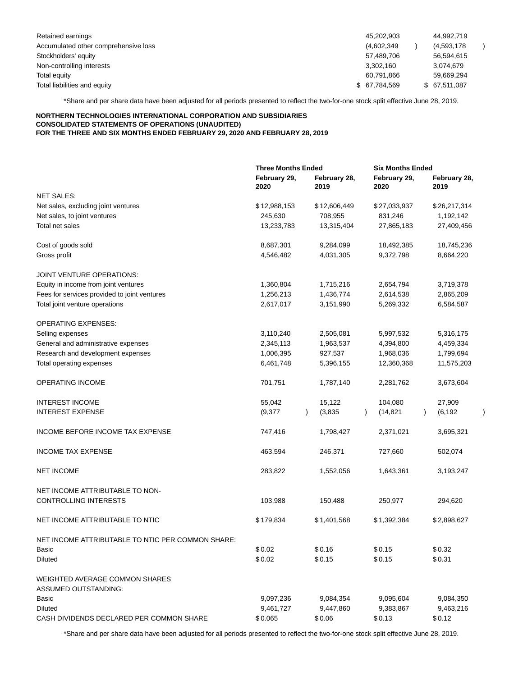| Retained earnings                    | 45.202.903    | 44.992.719    |
|--------------------------------------|---------------|---------------|
| Accumulated other comprehensive loss | (4,602,349)   | (4,593,178)   |
| Stockholders' equity                 | 57,489,706    | 56.594.615    |
| Non-controlling interests            | 3.302.160     | 3.074.679     |
| Total equity                         | 60,791,866    | 59,669,294    |
| Total liabilities and equity         | \$ 67,784,569 | \$ 67,511,087 |

\*Share and per share data have been adjusted for all periods presented to reflect the two-for-one stock split effective June 28, 2019.

#### **NORTHERN TECHNOLOGIES INTERNATIONAL CORPORATION AND SUBSIDIARIES CONSOLIDATED STATEMENTS OF OPERATIONS (UNAUDITED) FOR THE THREE AND SIX MONTHS ENDED FEBRUARY 29, 2020 AND FEBRUARY 28, 2019**

|                                                   | <b>Three Months Ended</b> |                      | <b>Six Months Ended</b> |                       |  |  |  |
|---------------------------------------------------|---------------------------|----------------------|-------------------------|-----------------------|--|--|--|
|                                                   | February 29,<br>2020      | February 28,<br>2019 | February 29,<br>2020    | February 28,<br>2019  |  |  |  |
| <b>NET SALES:</b>                                 |                           |                      |                         |                       |  |  |  |
| Net sales, excluding joint ventures               | \$12,988,153              | \$12,606,449         | \$27,033,937            | \$26,217,314          |  |  |  |
| Net sales, to joint ventures                      | 245,630                   | 708,955              | 831,246                 | 1,192,142             |  |  |  |
| Total net sales                                   | 13,233,783                | 13,315,404           | 27,865,183              | 27,409,456            |  |  |  |
| Cost of goods sold                                | 8,687,301                 | 9,284,099            | 18,492,385              | 18,745,236            |  |  |  |
| Gross profit                                      | 4,546,482                 | 4,031,305            | 9,372,798               | 8,664,220             |  |  |  |
| JOINT VENTURE OPERATIONS:                         |                           |                      |                         |                       |  |  |  |
| Equity in income from joint ventures              | 1,360,804                 | 1,715,216            | 2,654,794               | 3,719,378             |  |  |  |
| Fees for services provided to joint ventures      | 1,256,213                 | 1,436,774            | 2,614,538               | 2,865,209             |  |  |  |
| Total joint venture operations                    | 2,617,017                 | 3,151,990            | 5,269,332               | 6,584,587             |  |  |  |
| <b>OPERATING EXPENSES:</b>                        |                           |                      |                         |                       |  |  |  |
| Selling expenses                                  | 3,110,240                 | 2,505,081            | 5,997,532               | 5,316,175             |  |  |  |
| General and administrative expenses               | 2,345,113                 | 1,963,537            | 4,394,800               | 4,459,334             |  |  |  |
| Research and development expenses                 | 1,006,395                 | 927,537              | 1,968,036               | 1,799,694             |  |  |  |
| Total operating expenses                          | 6,461,748                 | 5,396,155            | 12,360,368              | 11,575,203            |  |  |  |
| <b>OPERATING INCOME</b>                           | 701,751                   | 1,787,140            | 2,281,762               | 3,673,604             |  |  |  |
| <b>INTEREST INCOME</b>                            | 55,042                    | 15,122               | 104,080                 | 27,909                |  |  |  |
| <b>INTEREST EXPENSE</b>                           | (9,377)                   | (3,835)              | (14, 821)               | (6, 192)<br>$\lambda$ |  |  |  |
| INCOME BEFORE INCOME TAX EXPENSE                  | 747,416                   | 1,798,427            | 2,371,021               | 3,695,321             |  |  |  |
| <b>INCOME TAX EXPENSE</b>                         | 463,594                   | 246,371              | 727,660                 | 502,074               |  |  |  |
| <b>NET INCOME</b>                                 | 283,822                   | 1,552,056            | 1,643,361               | 3,193,247             |  |  |  |
| NET INCOME ATTRIBUTABLE TO NON-                   |                           |                      |                         |                       |  |  |  |
| <b>CONTROLLING INTERESTS</b>                      | 103,988                   | 150,488              | 250,977                 | 294,620               |  |  |  |
| NET INCOME ATTRIBUTABLE TO NTIC                   | \$179,834                 | \$1,401,568          | \$1,392,384             | \$2,898,627           |  |  |  |
| NET INCOME ATTRIBUTABLE TO NTIC PER COMMON SHARE: |                           |                      |                         |                       |  |  |  |
| Basic                                             | \$0.02                    | \$0.16               | \$0.15                  | \$0.32                |  |  |  |
| <b>Diluted</b>                                    | \$0.02                    | \$0.15               | \$0.15                  | \$0.31                |  |  |  |
| <b>WEIGHTED AVERAGE COMMON SHARES</b>             |                           |                      |                         |                       |  |  |  |
| ASSUMED OUTSTANDING:                              |                           |                      |                         |                       |  |  |  |
| Basic                                             | 9,097,236                 | 9,084,354            | 9,095,604               | 9,084,350             |  |  |  |
| <b>Diluted</b>                                    | 9,461,727                 | 9,447,860            | 9,383,867               | 9,463,216             |  |  |  |
| CASH DIVIDENDS DECLARED PER COMMON SHARE          | \$0.065                   | \$0.06               | \$0.13                  | \$0.12                |  |  |  |

\*Share and per share data have been adjusted for all periods presented to reflect the two-for-one stock split effective June 28, 2019.